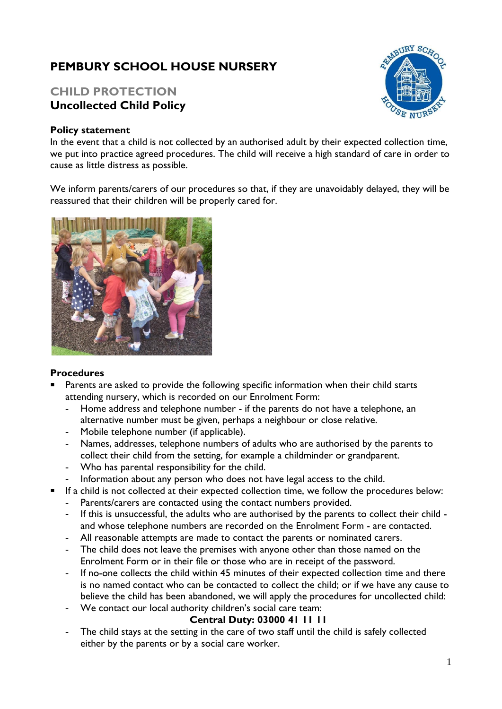# **PEMBURY SCHOOL HOUSE NURSERY**

## **CHILD PROTECTION Uncollected Child Policy**

#### **Policy statement**

In the event that a child is not collected by an authorised adult by their expected collection time, we put into practice agreed procedures. The child will receive a high standard of care in order to cause as little distress as possible.

We inform parents/carers of our procedures so that, if they are unavoidably delayed, they will be reassured that their children will be properly cared for.



#### **Procedures**

- Parents are asked to provide the following specific information when their child starts attending nursery, which is recorded on our Enrolment Form:
	- **-** Home address and telephone number if the parents do not have a telephone, an alternative number must be given, perhaps a neighbour or close relative.
	- **-** Mobile telephone number (if applicable).
	- **-** Names, addresses, telephone numbers of adults who are authorised by the parents to collect their child from the setting, for example a childminder or grandparent.
	- **-** Who has parental responsibility for the child.
	- **-** Information about any person who does not have legal access to the child.
- If a child is not collected at their expected collection time, we follow the procedures below:
	- **-** Parents/carers are contacted using the contact numbers provided.
	- **-** If this is unsuccessful, the adults who are authorised by the parents to collect their child and whose telephone numbers are recorded on the Enrolment Form - are contacted.
	- **-** All reasonable attempts are made to contact the parents or nominated carers.
	- **-** The child does not leave the premises with anyone other than those named on the Enrolment Form or in their file or those who are in receipt of the password.
	- **-** If no-one collects the child within 45 minutes of their expected collection time and there is no named contact who can be contacted to collect the child; or if we have any cause to believe the child has been abandoned, we will apply the procedures for uncollected child:
	- **-** We contact our local authority children's social care team:

### **Central Duty: 03000 41 11 11**

**-** The child stays at the setting in the care of two staff until the child is safely collected either by the parents or by a social care worker.